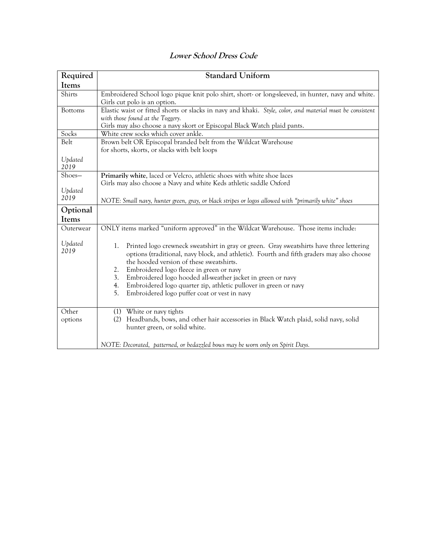| Required        | <b>Standard Uniform</b>                                                                                                   |  |  |  |  |
|-----------------|---------------------------------------------------------------------------------------------------------------------------|--|--|--|--|
|                 |                                                                                                                           |  |  |  |  |
| Items           |                                                                                                                           |  |  |  |  |
| Shirts          | Embroidered School logo pique knit polo shirt, short- or long-sleeved, in hunter, navy and white.                         |  |  |  |  |
|                 | Girls cut polo is an option.                                                                                              |  |  |  |  |
| <b>Bottoms</b>  | Elastic waist or fitted shorts or slacks in navy and khaki. Style, color, and material must be consistent                 |  |  |  |  |
|                 | with those found at the Toggery.                                                                                          |  |  |  |  |
| Socks           | Girls may also choose a navy skort or Episcopal Black Watch plaid pants.<br>White crew socks which cover ankle.           |  |  |  |  |
| Belt            | Brown belt OR Episcopal branded belt from the Wildcat Warehouse                                                           |  |  |  |  |
|                 | for shorts, skorts, or slacks with belt loops                                                                             |  |  |  |  |
|                 |                                                                                                                           |  |  |  |  |
| Updated<br>2019 |                                                                                                                           |  |  |  |  |
| Shoes-          | Primarily white, laced or Velcro, athletic shoes with white shoe laces                                                    |  |  |  |  |
|                 | Girls may also choose a Navy and white Keds athletic saddle Oxford                                                        |  |  |  |  |
| Updated         |                                                                                                                           |  |  |  |  |
| 2019            | NOTE: Small navy, hunter green, gray, or black stripes or logos allowed with "primarily white" shoes                      |  |  |  |  |
|                 |                                                                                                                           |  |  |  |  |
| Optional        |                                                                                                                           |  |  |  |  |
| Items           |                                                                                                                           |  |  |  |  |
| Outerwear       | ONLY items marked "uniform approved" in the Wildcat Warehouse. Those items include:                                       |  |  |  |  |
|                 |                                                                                                                           |  |  |  |  |
| Updated<br>2019 | $1_{-}$<br>Printed logo crewneck sweatshirt in gray or green. Gray sweatshirts have three lettering                       |  |  |  |  |
|                 | options (traditional, navy block, and athletic). Fourth and fifth graders may also choose                                 |  |  |  |  |
|                 | the hooded version of these sweatshirts.                                                                                  |  |  |  |  |
|                 | Embroidered logo fleece in green or navy<br>2.                                                                            |  |  |  |  |
|                 | Embroidered logo hooded all-weather jacket in green or navy<br>3.                                                         |  |  |  |  |
|                 | 4.<br>Embroidered logo quarter zip, athletic pullover in green or navy<br>5.                                              |  |  |  |  |
|                 | Embroidered logo puffer coat or vest in navy                                                                              |  |  |  |  |
|                 |                                                                                                                           |  |  |  |  |
| Other           | White or navy tights<br>(1)<br>Headbands, bows, and other hair accessories in Black Watch plaid, solid navy, solid<br>(2) |  |  |  |  |
| options         | hunter green, or solid white.                                                                                             |  |  |  |  |
|                 |                                                                                                                           |  |  |  |  |
|                 | NOTE: Decorated, patterned, or bedazzled bows may be worn only on Spirit Days.                                            |  |  |  |  |
|                 |                                                                                                                           |  |  |  |  |

## **Lower School Dress Code**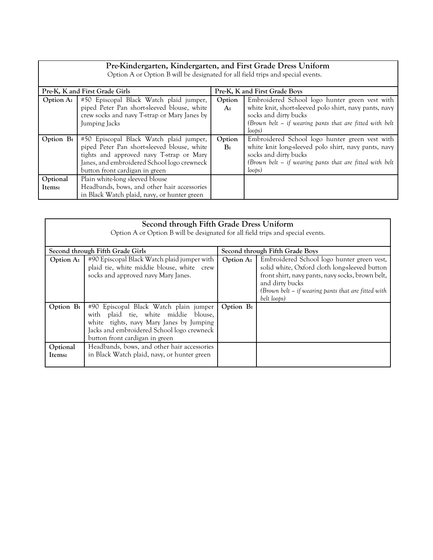| Pre-Kindergarten, Kindergarten, and First Grade Dress Uniform<br>Option A or Option B will be designated for all field trips and special events. |                                              |                               |                                                            |  |  |
|--------------------------------------------------------------------------------------------------------------------------------------------------|----------------------------------------------|-------------------------------|------------------------------------------------------------|--|--|
| Pre-K, K and First Grade Girls                                                                                                                   |                                              | Pre-K, K and First Grade Boys |                                                            |  |  |
| Option A:                                                                                                                                        | #50 Episcopal Black Watch plaid jumper,      | Option                        | Embroidered School logo hunter green vest with             |  |  |
|                                                                                                                                                  | piped Peter Pan short-sleeved blouse, white  | A:                            | white knit, short-sleeved polo shirt, navy pants, navy     |  |  |
|                                                                                                                                                  | crew socks and navy T-strap or Mary Janes by |                               | socks and dirty bucks                                      |  |  |
|                                                                                                                                                  | Jumping Jacks                                |                               | (Brown belt $-$ if wearing pants that are fitted with belt |  |  |
|                                                                                                                                                  |                                              |                               | $\{$ loops $)$                                             |  |  |
| Option B:                                                                                                                                        | #50 Episcopal Black Watch plaid jumper,      | Option                        | Embroidered School logo hunter green vest with             |  |  |
|                                                                                                                                                  | piped Peter Pan short-sleeved blouse, white  | B <sub>i</sub>                | white knit long-sleeved polo shirt, navy pants, navy       |  |  |
|                                                                                                                                                  | tights and approved navy T-strap or Mary     |                               | socks and dirty bucks                                      |  |  |
|                                                                                                                                                  | Janes, and embroidered School logo crewneck  |                               | (Brown belt $-$ if wearing pants that are fitted with belt |  |  |
|                                                                                                                                                  | button front cardigan in green               |                               | $\{$ loops $)$                                             |  |  |
| Optional                                                                                                                                         | Plain white-long sleeved blouse              |                               |                                                            |  |  |
| Items:                                                                                                                                           | Headbands, bows, and other hair accessories  |                               |                                                            |  |  |
|                                                                                                                                                  | in Black Watch plaid, navy, or hunter green  |                               |                                                            |  |  |

| Second through Fifth Grade Dress Uniform<br>Option A or Option B will be designated for all field trips and special events. |                                                                                                                                                                                                            |                                 |                                                                                                                                                                                                                                          |  |  |
|-----------------------------------------------------------------------------------------------------------------------------|------------------------------------------------------------------------------------------------------------------------------------------------------------------------------------------------------------|---------------------------------|------------------------------------------------------------------------------------------------------------------------------------------------------------------------------------------------------------------------------------------|--|--|
| Second through Fifth Grade Girls                                                                                            |                                                                                                                                                                                                            | Second through Fifth Grade Boys |                                                                                                                                                                                                                                          |  |  |
| Option A:                                                                                                                   | #90 Episcopal Black Watch plaid jumper with<br>plaid tie, white middie blouse, white crew<br>socks and approved navy Mary Janes.                                                                           | Option A:                       | Embroidered School logo hunter green vest,<br>solid white, Oxford cloth long-sleeved button<br>front shirt, navy pants, navy socks, brown belt,<br>and dirty bucks<br>(Brown belt – if wearing pants that are fitted with<br>belt loops) |  |  |
| Option B:                                                                                                                   | #90 Episcopal Black Watch plain jumper<br>with plaid tie, white middie blouse,<br>white tights, navy Mary Janes by Jumping<br>Jacks and embroidered School logo crewneck<br>button front cardigan in green | Option B:                       |                                                                                                                                                                                                                                          |  |  |
| Optional<br>Items:                                                                                                          | Headbands, bows, and other hair accessories<br>in Black Watch plaid, navy, or hunter green                                                                                                                 |                                 |                                                                                                                                                                                                                                          |  |  |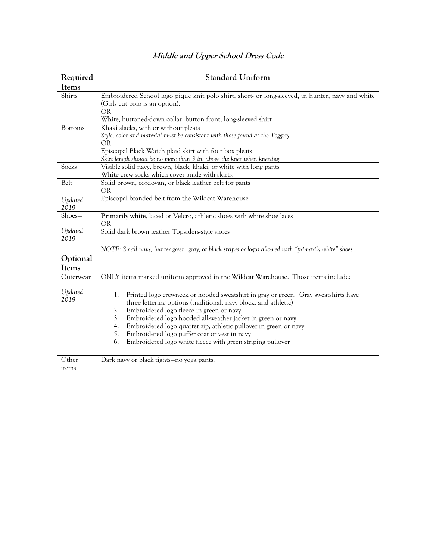| Required                  | <b>Standard Uniform</b>                                                                                                                                                                                                                                                                                                                                                                                                                                                                |  |  |  |
|---------------------------|----------------------------------------------------------------------------------------------------------------------------------------------------------------------------------------------------------------------------------------------------------------------------------------------------------------------------------------------------------------------------------------------------------------------------------------------------------------------------------------|--|--|--|
| Items                     |                                                                                                                                                                                                                                                                                                                                                                                                                                                                                        |  |  |  |
| Shirts                    | Embroidered School logo pique knit polo shirt, short or long-sleeved, in hunter, navy and white<br>(Girls cut polo is an option).<br><b>OR</b><br>White, buttoned-down collar, button front, long-sleeved shirt                                                                                                                                                                                                                                                                        |  |  |  |
| <b>Bottoms</b>            | Khaki slacks, with or without pleats<br>Style, color and material must be consistent with those found at the Toggery.<br><b>OR</b><br>Episcopal Black Watch plaid skirt with four box pleats<br>Skirt length should be no more than 3 in. above the knee when kneeling.                                                                                                                                                                                                                |  |  |  |
| Socks                     | Visible solid navy, brown, black, khaki, or white with long pants<br>White crew socks which cover ankle with skirts.                                                                                                                                                                                                                                                                                                                                                                   |  |  |  |
| Belt                      | Solid brown, cordovan, or black leather belt for pants<br><b>OR</b>                                                                                                                                                                                                                                                                                                                                                                                                                    |  |  |  |
| Updated<br>2019           | Episcopal branded belt from the Wildcat Warehouse                                                                                                                                                                                                                                                                                                                                                                                                                                      |  |  |  |
| Shoes-<br>Updated<br>2019 | Primarily white, laced or Velcro, athletic shoes with white shoe laces<br><b>OR</b><br>Solid dark brown leather Topsiders-style shoes                                                                                                                                                                                                                                                                                                                                                  |  |  |  |
| Optional<br>Items         | NOTE: Small navy, hunter green, gray, or black stripes or logos allowed with "primarily white" shoes                                                                                                                                                                                                                                                                                                                                                                                   |  |  |  |
| Outerwear                 | ONLY items marked uniform approved in the Wildcat Warehouse. Those items include:                                                                                                                                                                                                                                                                                                                                                                                                      |  |  |  |
| Updated<br>2019           | Printed logo crewneck or hooded sweatshirt in gray or green. Gray sweatshirts have<br>1.<br>three lettering options (traditional, navy block, and athletic)<br>2.<br>Embroidered logo fleece in green or navy<br>3.<br>Embroidered logo hooded all-weather jacket in green or navy<br>Embroidered logo quarter zip, athletic pullover in green or navy<br>4.<br>5.<br>Embroidered logo puffer coat or vest in navy<br>Embroidered logo white fleece with green striping pullover<br>6. |  |  |  |
| Other<br>items            | Dark navy or black tights-no yoga pants.                                                                                                                                                                                                                                                                                                                                                                                                                                               |  |  |  |

## **Middle and Upper School Dress Code**